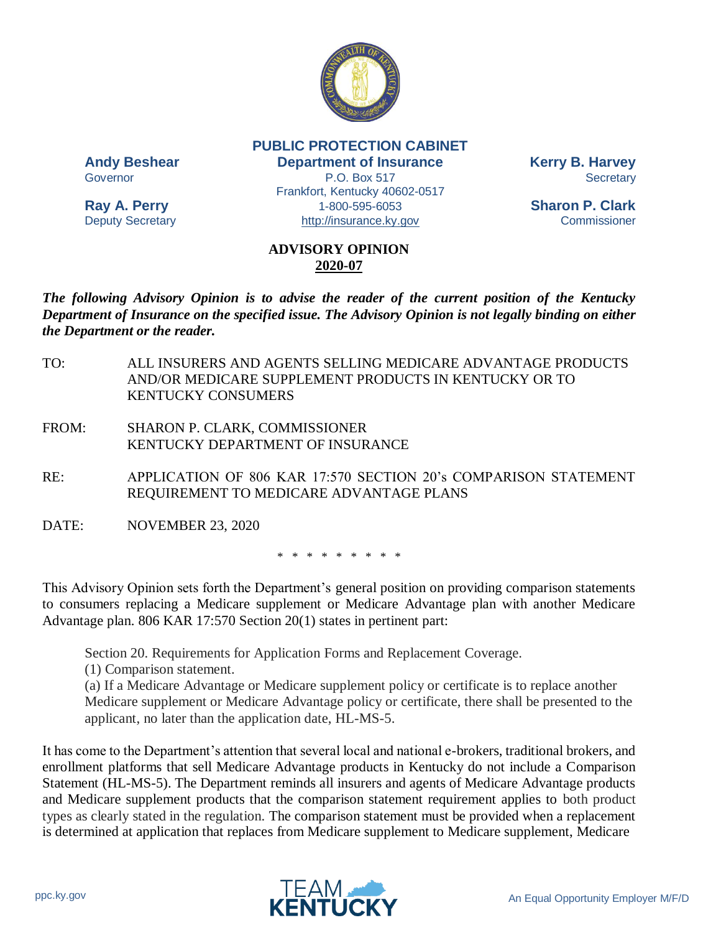

**PUBLIC PROTECTION CABINET Andy Beshear Department of Insurance Kerry B. Harvey** Governor **P.O. Box 517** Secretary Frankfort, Kentucky 40602-0517 **Ray A. Perry** 1-800-595-6053 **Sharon P. Clark** Deputy Secretary [http://insurance.ky.gov](http://insurance.ky.gov/) Commissioner

## **ADVISORY OPINION 2020-07**

*The following Advisory Opinion is to advise the reader of the current position of the Kentucky Department of Insurance on the specified issue. The Advisory Opinion is not legally binding on either the Department or the reader.*

- TO: ALL INSURERS AND AGENTS SELLING MEDICARE ADVANTAGE PRODUCTS AND/OR MEDICARE SUPPLEMENT PRODUCTS IN KENTUCKY OR TO KENTUCKY CONSUMERS
- FROM: SHARON P. CLARK, COMMISSIONER KENTUCKY DEPARTMENT OF INSURANCE

RE: APPLICATION OF 806 KAR 17:570 SECTION 20's COMPARISON STATEMENT REQUIREMENT TO MEDICARE ADVANTAGE PLANS

DATE: NOVEMBER 23, 2020

\* \* \* \* \* \* \* \* \*

This Advisory Opinion sets forth the Department's general position on providing comparison statements to consumers replacing a Medicare supplement or Medicare Advantage plan with another Medicare Advantage plan. 806 KAR 17:570 Section 20(1) states in pertinent part:

Section 20. Requirements for Application Forms and Replacement Coverage.

(1) Comparison statement.

(a) If a Medicare Advantage or Medicare supplement policy or certificate is to replace another Medicare supplement or Medicare Advantage policy or certificate, there shall be presented to the applicant, no later than the application date, HL-MS-5.

It has come to the Department's attention that several local and national e-brokers, traditional brokers, and enrollment platforms that sell Medicare Advantage products in Kentucky do not include a Comparison Statement (HL-MS-5). The Department reminds all insurers and agents of Medicare Advantage products and Medicare supplement products that the comparison statement requirement applies to both product types as clearly stated in the regulation. The comparison statement must be provided when a replacement is determined at application that replaces from Medicare supplement to Medicare supplement, Medicare